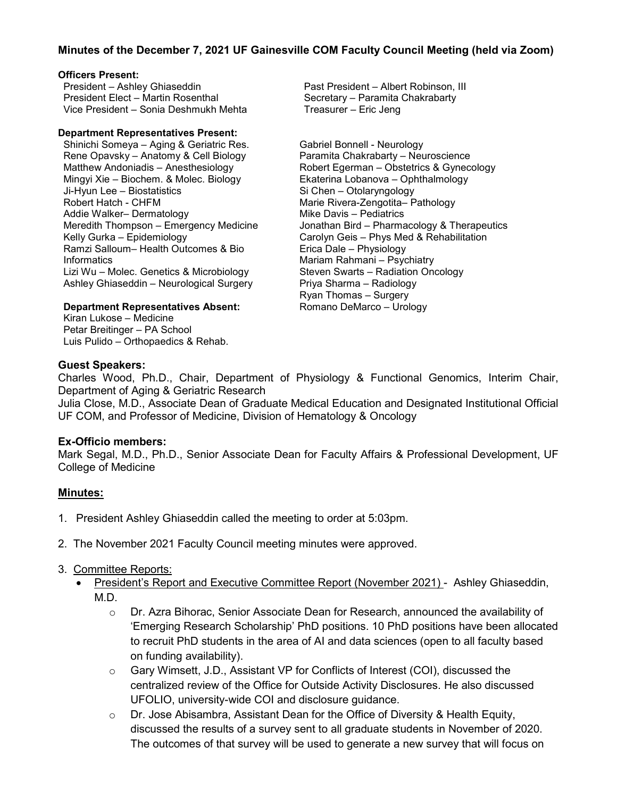# **Minutes of the December 7, 2021 UF Gainesville COM Faculty Council Meeting (held via Zoom)**

## **Officers Present:**

President – Ashley Ghiaseddin President Elect – Martin Rosenthal Vice President – Sonia Deshmukh Mehta

#### **Department Representatives Present:**

Shinichi Someya – Aging & Geriatric Res. Rene Opavsky – Anatomy & Cell Biology Matthew Andoniadis – Anesthesiology Mingyi Xie – Biochem. & Molec. Biology Ji-Hyun Lee – Biostatistics Robert Hatch - CHFM Addie Walker– Dermatology Meredith Thompson – Emergency Medicine Kelly Gurka – Epidemiology Ramzi Salloum– Health Outcomes & Bio **Informatics** Lizi Wu – Molec. Genetics & Microbiology Ashley Ghiaseddin – Neurological Surgery

#### **Department Representatives Absent:**

Kiran Lukose – Medicine Petar Breitinger – PA School Luis Pulido – Orthopaedics & Rehab. Past President – Albert Robinson, III Secretary – Paramita Chakrabarty Treasurer – Eric Jeng

Gabriel Bonnell - Neurology Paramita Chakrabarty – Neuroscience Robert Egerman – Obstetrics & Gynecology Ekaterina Lobanova – Ophthalmology Si Chen – Otolaryngology Marie Rivera-Zengotita– Pathology Mike Davis – Pediatrics Jonathan Bird – Pharmacology & Therapeutics Carolyn Geis – Phys Med & Rehabilitation Erica Dale – Physiology Mariam Rahmani – Psychiatry Steven Swarts – Radiation Oncology Priya Sharma – Radiology Ryan Thomas – Surgery Romano DeMarco – Urology

## **Guest Speakers:**

Charles Wood, Ph.D., Chair, Department of Physiology & Functional Genomics, Interim Chair, Department of Aging & Geriatric Research

Julia Close, M.D., Associate Dean of Graduate Medical Education and Designated Institutional Official UF COM, and Professor of Medicine, Division of Hematology & Oncology

## **Ex-Officio members:**

Mark Segal, M.D., Ph.D., Senior Associate Dean for Faculty Affairs & Professional Development, UF College of Medicine

## **Minutes:**

- 1. President Ashley Ghiaseddin called the meeting to order at 5:03pm.
- 2. The November 2021 Faculty Council meeting minutes were approved.
- 3. Committee Reports:
	- President's Report and Executive Committee Report (November 2021) Ashley Ghiaseddin, M.D.
		- $\circ$  Dr. Azra Bihorac, Senior Associate Dean for Research, announced the availability of 'Emerging Research Scholarship' PhD positions. 10 PhD positions have been allocated to recruit PhD students in the area of AI and data sciences (open to all faculty based on funding availability).
		- o Gary Wimsett, J.D., Assistant VP for Conflicts of Interest (COI), discussed the centralized review of the Office for Outside Activity Disclosures. He also discussed UFOLIO, university-wide COI and disclosure guidance.
		- $\circ$  Dr. Jose Abisambra, Assistant Dean for the Office of Diversity & Health Equity, discussed the results of a survey sent to all graduate students in November of 2020. The outcomes of that survey will be used to generate a new survey that will focus on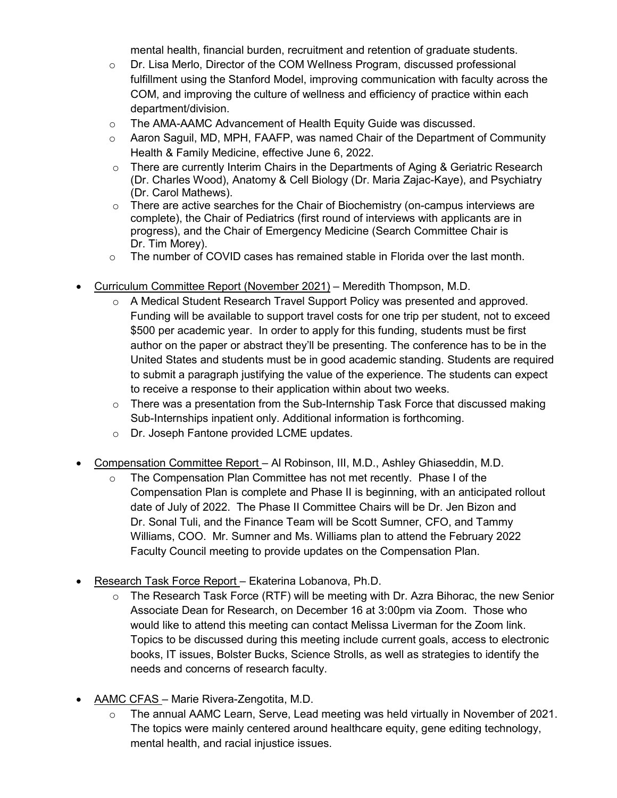mental health, financial burden, recruitment and retention of graduate students.

- $\circ$  Dr. Lisa Merlo, Director of the COM Wellness Program, discussed professional fulfillment using the Stanford Model, improving communication with faculty across the COM, and improving the culture of wellness and efficiency of practice within each department/division.
- o The AMA-AAMC Advancement of Health Equity Guide was discussed.
- $\circ$  Aaron Saguil, MD, MPH, FAAFP, was named Chair of the Department of Community Health & Family Medicine, effective June 6, 2022.
- $\circ$  There are currently Interim Chairs in the Departments of Aging & Geriatric Research (Dr. Charles Wood), Anatomy & Cell Biology (Dr. Maria Zajac-Kaye), and Psychiatry (Dr. Carol Mathews).
- $\circ$  There are active searches for the Chair of Biochemistry (on-campus interviews are complete), the Chair of Pediatrics (first round of interviews with applicants are in progress), and the Chair of Emergency Medicine (Search Committee Chair is Dr. Tim Morey).
- $\circ$  The number of COVID cases has remained stable in Florida over the last month.
- Curriculum Committee Report (November 2021) Meredith Thompson, M.D.
	- o A Medical Student Research Travel Support Policy was presented and approved. Funding will be available to support travel costs for one trip per student, not to exceed \$500 per academic year. In order to apply for this funding, students must be first author on the paper or abstract they'll be presenting. The conference has to be in the United States and students must be in good academic standing. Students are required to submit a paragraph justifying the value of the experience. The students can expect to receive a response to their application within about two weeks.
	- $\circ$  There was a presentation from the Sub-Internship Task Force that discussed making Sub-Internships inpatient only. Additional information is forthcoming.
	- o Dr. Joseph Fantone provided LCME updates.
- Compensation Committee Report Al Robinson, III, M.D., Ashley Ghiaseddin, M.D.
	- $\circ$  The Compensation Plan Committee has not met recently. Phase I of the Compensation Plan is complete and Phase II is beginning, with an anticipated rollout date of July of 2022. The Phase II Committee Chairs will be Dr. Jen Bizon and Dr. Sonal Tuli, and the Finance Team will be Scott Sumner, CFO, and Tammy Williams, COO. Mr. Sumner and Ms. Williams plan to attend the February 2022 Faculty Council meeting to provide updates on the Compensation Plan.
- Research Task Force Report Ekaterina Lobanova, Ph.D.
	- $\circ$  The Research Task Force (RTF) will be meeting with Dr. Azra Bihorac, the new Senior Associate Dean for Research, on December 16 at 3:00pm via Zoom. Those who would like to attend this meeting can contact Melissa Liverman for the Zoom link. Topics to be discussed during this meeting include current goals, access to electronic books, IT issues, Bolster Bucks, Science Strolls, as well as strategies to identify the needs and concerns of research faculty.
- AAMC CFAS Marie Rivera-Zengotita, M.D.
	- o The annual AAMC Learn, Serve, Lead meeting was held virtually in November of 2021. The topics were mainly centered around healthcare equity, gene editing technology, mental health, and racial injustice issues.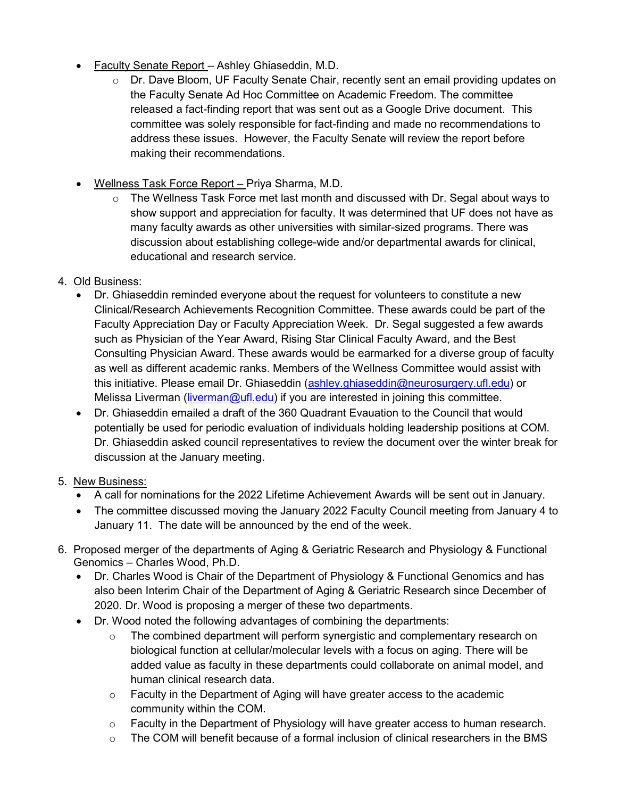- Faculty Senate Report Ashley Ghiaseddin, M.D.
	- $\circ$  Dr. Dave Bloom, UF Faculty Senate Chair, recently sent an email providing updates on the Faculty Senate Ad Hoc Committee on Academic Freedom. The committee released a fact-finding report that was sent out as a Google Drive document. This committee was solely responsible for fact-finding and made no recommendations to address these issues. However, the Faculty Senate will review the report before making their recommendations.
- Wellness Task Force Report Priya Sharma, M.D.
	- $\circ$  The Wellness Task Force met last month and discussed with Dr. Segal about ways to show support and appreciation for faculty. It was determined that UF does not have as many faculty awards as other universities with similar-sized programs. There was discussion about establishing college-wide and/or departmental awards for clinical, educational and research service.
- 4. Old Business:
	- Dr. Ghiaseddin reminded everyone about the request for volunteers to constitute a new Clinical/Research Achievements Recognition Committee. These awards could be part of the Faculty Appreciation Day or Faculty Appreciation Week. Dr. Segal suggested a few awards such as Physician of the Year Award, Rising Star Clinical Faculty Award, and the Best Consulting Physician Award. These awards would be earmarked for a diverse group of faculty as well as different academic ranks. Members of the Wellness Committee would assist with this initiative. Please email Dr. Ghiaseddin [\(ashley.ghiaseddin@neurosurgery.ufl.edu\)](mailto:ashley.ghiaseddin@neurosurgery.ufl.edu) or Melissa Liverman [\(liverman@ufl.edu\)](mailto:liverman@ufl.edu) if you are interested in joining this committee.
	- Dr. Ghiaseddin emailed a draft of the 360 Quadrant Evauation to the Council that would potentially be used for periodic evaluation of individuals holding leadership positions at COM. Dr. Ghiaseddin asked council representatives to review the document over the winter break for discussion at the January meeting.
- 5. New Business:
	- A call for nominations for the 2022 Lifetime Achievement Awards will be sent out in January.
	- The committee discussed moving the January 2022 Faculty Council meeting from January 4 to January 11. The date will be announced by the end of the week.
- 6. Proposed merger of the departments of Aging & Geriatric Research and Physiology & Functional Genomics – Charles Wood, Ph.D.
	- Dr. Charles Wood is Chair of the Department of Physiology & Functional Genomics and has also been Interim Chair of the Department of Aging & Geriatric Research since December of 2020. Dr. Wood is proposing a merger of these two departments.
	- Dr. Wood noted the following advantages of combining the departments:
		- $\circ$  The combined department will perform synergistic and complementary research on biological function at cellular/molecular levels with a focus on aging. There will be added value as faculty in these departments could collaborate on animal model, and human clinical research data.
		- $\circ$  Faculty in the Department of Aging will have greater access to the academic community within the COM.
		- $\circ$  Faculty in the Department of Physiology will have greater access to human research.
		- $\circ$  The COM will benefit because of a formal inclusion of clinical researchers in the BMS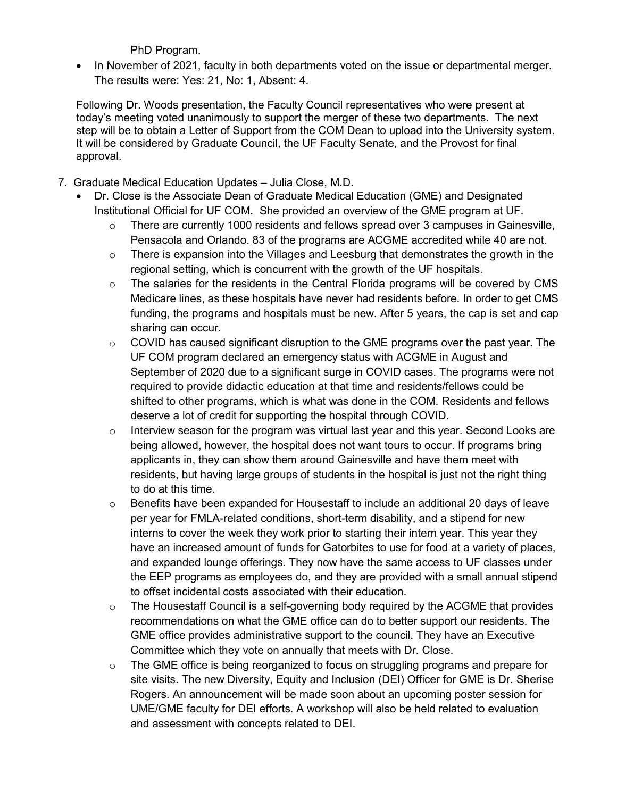PhD Program.

• In November of 2021, faculty in both departments voted on the issue or departmental merger. The results were: Yes: 21, No: 1, Absent: 4.

Following Dr. Woods presentation, the Faculty Council representatives who were present at today's meeting voted unanimously to support the merger of these two departments. The next step will be to obtain a Letter of Support from the COM Dean to upload into the University system. It will be considered by Graduate Council, the UF Faculty Senate, and the Provost for final approval.

- 7. Graduate Medical Education Updates Julia Close, M.D.
	- Dr. Close is the Associate Dean of Graduate Medical Education (GME) and Designated Institutional Official for UF COM. She provided an overview of the GME program at UF.
		- $\circ$  There are currently 1000 residents and fellows spread over 3 campuses in Gainesville, Pensacola and Orlando. 83 of the programs are ACGME accredited while 40 are not.
		- $\circ$  There is expansion into the Villages and Leesburg that demonstrates the growth in the regional setting, which is concurrent with the growth of the UF hospitals.
		- $\circ$  The salaries for the residents in the Central Florida programs will be covered by CMS Medicare lines, as these hospitals have never had residents before. In order to get CMS funding, the programs and hospitals must be new. After 5 years, the cap is set and cap sharing can occur.
		- $\circ$  COVID has caused significant disruption to the GME programs over the past year. The UF COM program declared an emergency status with ACGME in August and September of 2020 due to a significant surge in COVID cases. The programs were not required to provide didactic education at that time and residents/fellows could be shifted to other programs, which is what was done in the COM. Residents and fellows deserve a lot of credit for supporting the hospital through COVID.
		- $\circ$  Interview season for the program was virtual last year and this year. Second Looks are being allowed, however, the hospital does not want tours to occur. If programs bring applicants in, they can show them around Gainesville and have them meet with residents, but having large groups of students in the hospital is just not the right thing to do at this time.
		- o Benefits have been expanded for Housestaff to include an additional 20 days of leave per year for FMLA-related conditions, short-term disability, and a stipend for new interns to cover the week they work prior to starting their intern year. This year they have an increased amount of funds for Gatorbites to use for food at a variety of places, and expanded lounge offerings. They now have the same access to UF classes under the EEP programs as employees do, and they are provided with a small annual stipend to offset incidental costs associated with their education.
		- $\circ$  The Housestaff Council is a self-governing body required by the ACGME that provides recommendations on what the GME office can do to better support our residents. The GME office provides administrative support to the council. They have an Executive Committee which they vote on annually that meets with Dr. Close.
		- o The GME office is being reorganized to focus on struggling programs and prepare for site visits. The new Diversity, Equity and Inclusion (DEI) Officer for GME is Dr. Sherise Rogers. An announcement will be made soon about an upcoming poster session for UME/GME faculty for DEI efforts. A workshop will also be held related to evaluation and assessment with concepts related to DEI.